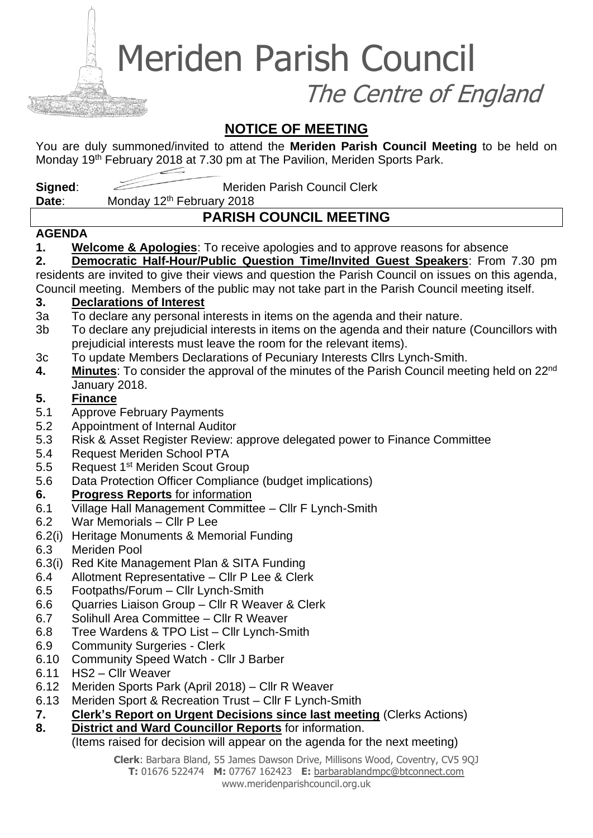Meriden Parish Council

The Centre of England

## **NOTICE OF MEETING**

You are duly summoned/invited to attend the **Meriden Parish Council Meeting** to be held on Monday 19<sup>th</sup> February 2018 at 7.30 pm at The Pavilion, Meriden Sports Park.

**Signed:** Meriden Parish Council Clerk

Date: Monday 12<sup>th</sup> February 2018

# **PARISH COUNCIL MEETING**

### **AGENDA**

**1. Welcome & Apologies**: To receive apologies and to approve reasons for absence

**2. Democratic Half-Hour/Public Question Time/Invited Guest Speakers**: From 7.30 pm residents are invited to give their views and question the Parish Council on issues on this agenda, Council meeting. Members of the public may not take part in the Parish Council meeting itself.

### **3. Declarations of Interest**

- 3a To declare any personal interests in items on the agenda and their nature.
- 3b To declare any prejudicial interests in items on the agenda and their nature (Councillors with prejudicial interests must leave the room for the relevant items).
- 3c To update Members Declarations of Pecuniary Interests Cllrs Lynch-Smith.
- **4. Minutes**: To consider the approval of the minutes of the Parish Council meeting held on 22nd January 2018.

### **5. Finance**

- 5.1 Approve February Payments
- 5.2 Appointment of Internal Auditor
- 5.3 Risk & Asset Register Review: approve delegated power to Finance Committee
- 5.4 Request Meriden School PTA
- 5.5 Request 1<sup>st</sup> Meriden Scout Group
- 5.6 Data Protection Officer Compliance (budget implications)

### **6. Progress Reports** for information

- 6.1 Village Hall Management Committee Cllr F Lynch-Smith
- 6.2 War Memorials Cllr P Lee
- 6.2(i) Heritage Monuments & Memorial Funding
- 6.3 Meriden Pool
- 6.3(i) Red Kite Management Plan & SITA Funding
- 6.4 Allotment Representative Cllr P Lee & Clerk
- 6.5 Footpaths/Forum Cllr Lynch-Smith
- 6.6 Quarries Liaison Group Cllr R Weaver & Clerk
- 6.7 Solihull Area Committee Cllr R Weaver
- 6.8 Tree Wardens & TPO List Cllr Lynch-Smith
- 6.9 Community Surgeries Clerk
- 6.10 Community Speed Watch Cllr J Barber
- 6.11 HS2 Cllr Weaver
- 6.12 Meriden Sports Park (April 2018) Cllr R Weaver
- 6.13 Meriden Sport & Recreation Trust Cllr F Lynch-Smith
- **7. Clerk's Report on Urgent Decisions since last meeting** (Clerks Actions)
- **8. District and Ward Councillor Reports** for information.

### (Items raised for decision will appear on the agenda for the next meeting)